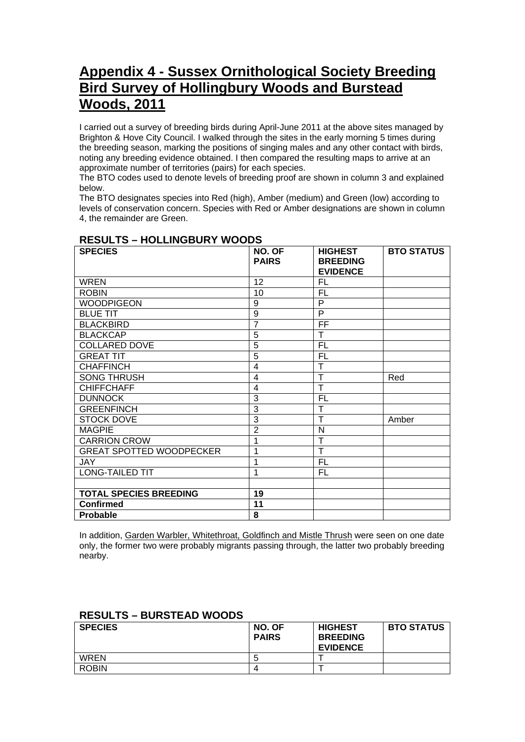## **Appendix 4 - Sussex Ornithological Society Breeding Bird Survey of Hollingbury Woods and Burstead Woods, 2011**

I carried out a survey of breeding birds during April-June 2011 at the above sites managed by Brighton & Hove City Council. I walked through the sites in the early morning 5 times during the breeding season, marking the positions of singing males and any other contact with birds, noting any breeding evidence obtained. I then compared the resulting maps to arrive at an approximate number of territories (pairs) for each species.

The BTO codes used to denote levels of breeding proof are shown in column 3 and explained below.

The BTO designates species into Red (high), Amber (medium) and Green (low) according to levels of conservation concern. Species with Red or Amber designations are shown in column 4, the remainder are Green.

| <b>SPECIES</b>                  | NO. OF<br><b>PAIRS</b> | <b>HIGHEST</b><br><b>BREEDING</b><br><b>EVIDENCE</b> | <b>BTO STATUS</b> |
|---------------------------------|------------------------|------------------------------------------------------|-------------------|
| <b>WREN</b>                     | 12                     | FL                                                   |                   |
| <b>ROBIN</b>                    | 10                     | <b>FL</b>                                            |                   |
| <b>WOODPIGEON</b>               | 9                      | P                                                    |                   |
| <b>BLUE TIT</b>                 | 9                      | P                                                    |                   |
| <b>BLACKBIRD</b>                | $\overline{7}$         | FF                                                   |                   |
| <b>BLACKCAP</b>                 | 5                      | T                                                    |                   |
| <b>COLLARED DOVE</b>            | $\overline{5}$         | <b>FL</b>                                            |                   |
| <b>GREAT TIT</b>                | $\overline{5}$         | <b>FL</b>                                            |                   |
| <b>CHAFFINCH</b>                | $\overline{4}$         | T                                                    |                   |
| <b>SONG THRUSH</b>              | 4                      | T                                                    | Red               |
| <b>CHIFFCHAFF</b>               | 4                      | T                                                    |                   |
| <b>DUNNOCK</b>                  | 3                      | <b>FL</b>                                            |                   |
| <b>GREENFINCH</b>               | 3                      | т                                                    |                   |
| <b>STOCK DOVE</b>               | $\overline{3}$         | т                                                    | Amber             |
| <b>MAGPIE</b>                   | $\overline{2}$         | N                                                    |                   |
| <b>CARRION CROW</b>             | 1                      | т                                                    |                   |
| <b>GREAT SPOTTED WOODPECKER</b> | 1                      | T                                                    |                   |
| <b>JAY</b>                      | 1                      | <b>FL</b>                                            |                   |
| <b>LONG-TAILED TIT</b>          | 1                      | <b>FL</b>                                            |                   |
|                                 |                        |                                                      |                   |
| <b>TOTAL SPECIES BREEDING</b>   | 19                     |                                                      |                   |
| <b>Confirmed</b>                | 11                     |                                                      |                   |
| <b>Probable</b>                 | 8                      |                                                      |                   |

## **RESULTS – HOLLINGBURY WOODS**

In addition, Garden Warbler, Whitethroat, Goldfinch and Mistle Thrush were seen on one date only, the former two were probably migrants passing through, the latter two probably breeding nearby.

| <b>SPECIES</b> | NO. OF<br><b>PAIRS</b> | <b>HIGHEST</b><br><b>BREEDING</b><br><b>EVIDENCE</b> | <b>BTO STATUS</b> |
|----------------|------------------------|------------------------------------------------------|-------------------|
| <b>WREN</b>    |                        |                                                      |                   |
| <b>ROBIN</b>   |                        |                                                      |                   |

## **RESULTS – BURSTEAD WOODS**